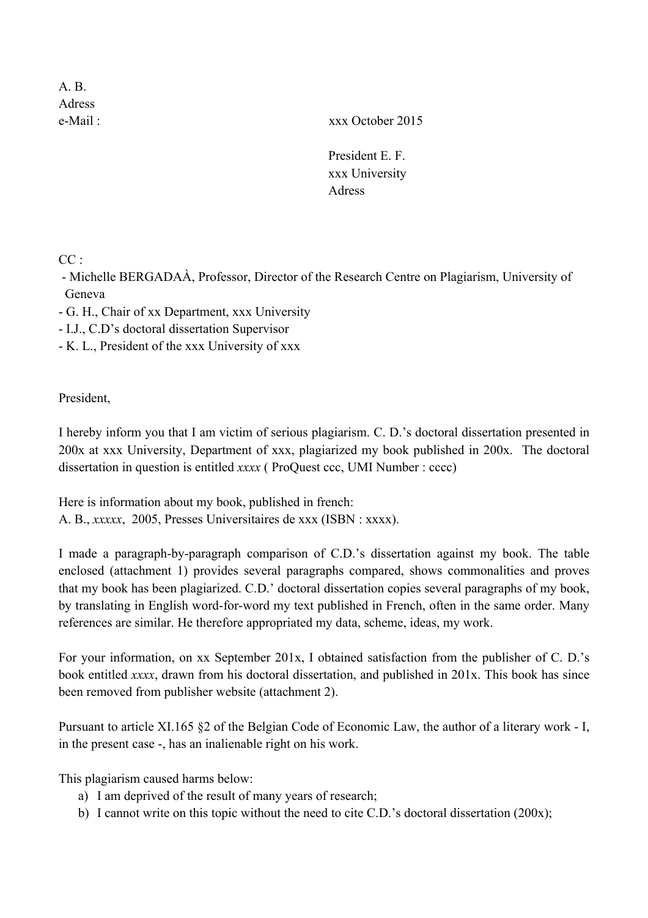A. B. Adress

e-Mail : xxx October 2015

President E. F. xxx University Adress

 $CC$ .

- Michelle BERGADAÀ, Professor, Director of the Research Centre on Plagiarism, University of Geneva

- G. H., Chair of xx Department, xxx University

- I.J., C.D's doctoral dissertation Supervisor

- K. L., President of the xxx University of xxx

President,

I hereby inform you that I am victim of serious plagiarism. C. D.'s doctoral dissertation presented in 200x at xxx University, Department of xxx, plagiarized my book published in 200x. The doctoral dissertation in question is entitled *xxxx* ( ProQuest ccc, UMI Number : cccc)

Here is information about my book, published in french: A. B., *xxxxx*, 2005, Presses Universitaires de xxx (ISBN : xxxx).

I made a paragraph-by-paragraph comparison of C.D.'s dissertation against my book. The table enclosed (attachment 1) provides several paragraphs compared, shows commonalities and proves that my book has been plagiarized. C.D.' doctoral dissertation copies several paragraphs of my book, by translating in English word-for-word my text published in French, often in the same order. Many references are similar. He therefore appropriated my data, scheme, ideas, my work.

For your information, on xx September 201x, I obtained satisfaction from the publisher of C. D.'s book entitled *xxxx*, drawn from his doctoral dissertation, and published in 201x. This book has since been removed from publisher website (attachment 2).

Pursuant to article XI.165 §2 of the Belgian Code of Economic Law, the author of a literary work - I, in the present case -, has an inalienable right on his work.

This plagiarism caused harms below:

- a) I am deprived of the result of many years of research;
- b) I cannot write on this topic without the need to cite C.D.'s doctoral dissertation (200x);